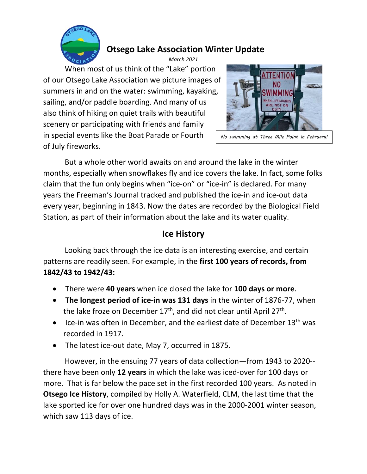

# **Otsego Lake Association Winter Update**

*March 2021* When most of us think of the "Lake" portion of our Otsego Lake Association we picture images of summers in and on the water: swimming, kayaking, sailing, and/or paddle boarding. And many of us also think of hiking on quiet trails with beautiful scenery or participating with friends and family in special events like the Boat Parade or Fourth of July fireworks.



No swimming at Three Mile Point in February!

But a whole other world awaits on and around the lake in the winter months, especially when snowflakes fly and ice covers the lake. In fact, some folks claim that the fun only begins when "ice‐on" or "ice‐in" is declared. For many years the Freeman's Journal tracked and published the ice‐in and ice‐out data every year, beginning in 1843. Now the dates are recorded by the Biological Field Station, as part of their information about the lake and its water quality.

## **Ice History**

Looking back through the ice data is an interesting exercise, and certain patterns are readily seen. For example, in the **first 100 years of records, from 1842/43 to 1942/43:** 

- There were **40 years** when ice closed the lake for **100 days or more**.
- **The longest period of ice-in was 131 days** in the winter of 1876-77, when the lake froze on December  $17<sup>th</sup>$ , and did not clear until April  $27<sup>th</sup>$ .
- Ice-in was often in December, and the earliest date of December  $13<sup>th</sup>$  was recorded in 1917.
- The latest ice-out date, May 7, occurred in 1875.

However, in the ensuing 77 years of data collection—from 1943 to 2020‐‐ there have been only **12 years** in which the lake was iced‐over for 100 days or more. That is far below the pace set in the first recorded 100 years. As noted in **Otsego Ice History**, compiled by Holly A. Waterfield, CLM, the last time that the lake sported ice for over one hundred days was in the 2000‐2001 winter season, which saw 113 days of ice.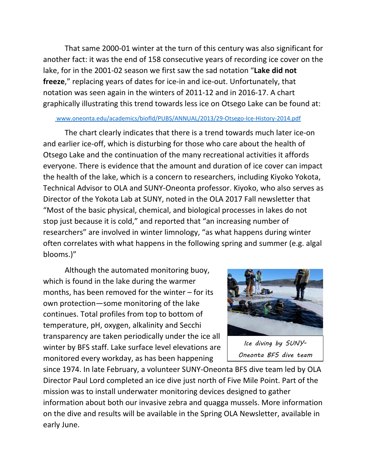That same 2000‐01 winter at the turn of this century was also significant for another fact: it was the end of 158 consecutive years of recording ice cover on the lake, for in the 2001‐02 season we first saw the sad notation "**Lake did not** freeze," replacing years of dates for ice-in and ice-out. Unfortunately, that notation was seen again in the winters of 2011‐12 and in 2016‐17. A chart graphically illustrating this trend towards less ice on Otsego Lake can be found at:

#### www.oneonta.edu/academics/biofld/PUBS/ANNUAL/2013/29‐Otsego‐Ice‐History‐2014.pdf

The chart clearly indicates that there is a trend towards much later ice‐on and earlier ice‐off, which is disturbing for those who care about the health of Otsego Lake and the continuation of the many recreational activities it affords everyone. There is evidence that the amount and duration of ice cover can impact the health of the lake, which is a concern to researchers, including Kiyoko Yokota, Technical Advisor to OLA and SUNY‐Oneonta professor. Kiyoko, who also serves as Director of the Yokota Lab at SUNY, noted in the OLA 2017 Fall newsletter that "Most of the basic physical, chemical, and biological processes in lakes do not stop just because it is cold," and reported that "an increasing number of researchers" are involved in winter limnology, "as what happens during winter often correlates with what happens in the following spring and summer (e.g. algal blooms.)"

Although the automated monitoring buoy, which is found in the lake during the warmer months, has been removed for the winter – for its own protection—some monitoring of the lake continues. Total profiles from top to bottom of temperature, pH, oxygen, alkalinity and Secchi transparency are taken periodically under the ice all winter by BFS staff. Lake surface level elevations are monitored every workday, as has been happening



Ice diving by SUNY-Oneonta BFS dive team

since 1974. In late February, a volunteer SUNY‐Oneonta BFS dive team led by OLA Director Paul Lord completed an ice dive just north of Five Mile Point. Part of the mission was to install underwater monitoring devices designed to gather information about both our invasive zebra and quagga mussels. More information on the dive and results will be available in the Spring OLA Newsletter, available in early June.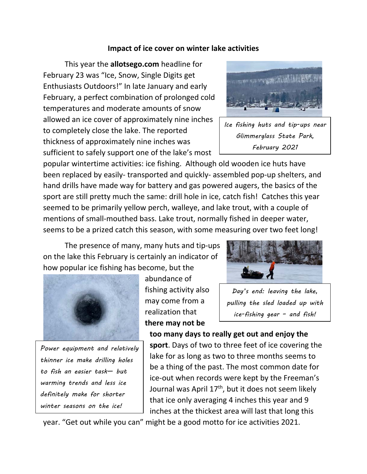## **Impact of ice cover on winter lake activities**

This year the **allotsego.com** headline for February 23 was "Ice, Snow, Single Digits get Enthusiasts Outdoors!" In late January and early February, a perfect combination of prolonged cold temperatures and moderate amounts of snow allowed an ice cover of approximately nine inches to completely close the lake. The reported thickness of approximately nine inches was sufficient to safely support one of the lake's most



Ice fishing huts and tip-ups near Glimmerglass State Park, February 2021

popular wintertime activities: ice fishing. Although old wooden ice huts have been replaced by easily-transported and quickly-assembled pop-up shelters, and hand drills have made way for battery and gas powered augers, the basics of the sport are still pretty much the same: drill hole in ice, catch fish! Catches this year seemed to be primarily yellow perch, walleye, and lake trout, with a couple of mentions of small-mouthed bass. Lake trout, normally fished in deeper water, seems to be a prized catch this season, with some measuring over two feet long!

The presence of many, many huts and tip‐ups on the lake this February is certainly an indicator of how popular ice fishing has become, but the



Power equipment and relatively thinner ice make drilling holes to fish an easier task— but warming trends and less ice definitely make for shorter winter seasons on the ice!

abundance of fishing activity also may come from a realization that **there may not be** 



Day's end: leaving the lake, pulling the sled loaded up with ice-fishing gear – and fish!

**too many days to really get out and enjoy the sport**. Days of two to three feet of ice covering the lake for as long as two to three months seems to be a thing of the past. The most common date for ice‐out when records were kept by the Freeman's Journal was April 17<sup>th</sup>, but it does not seem likely that ice only averaging 4 inches this year and 9 inches at the thickest area will last that long this

year. "Get out while you can" might be a good motto for ice activities 2021.